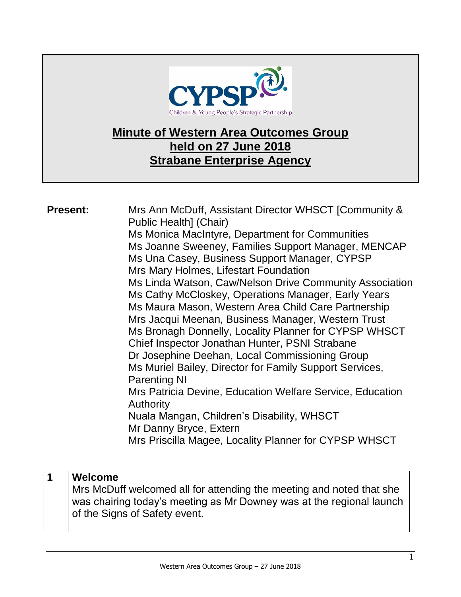

## **Minute of Western Area Outcomes Group held on 27 June 2018 Strabane Enterprise Agency**

| Ms Cathy McCloskey, Operations Manager, Early Years<br>Ms Maura Mason, Western Area Child Care Partnership<br>Mrs Jacqui Meenan, Business Manager, Western Trust<br>Ms Bronagh Donnelly, Locality Planner for CYPSP WHSCT<br>Chief Inspector Jonathan Hunter, PSNI Strabane<br>Dr Josephine Deehan, Local Commissioning Group<br>Ms Muriel Bailey, Director for Family Support Services,<br><b>Parenting NI</b><br>Mrs Patricia Devine, Education Welfare Service, Education<br><b>Authority</b><br>Nuala Mangan, Children's Disability, WHSCT<br>Mr Danny Bryce, Extern<br>Mrs Priscilla Magee, Locality Planner for CYPSP WHSCT | <b>Present:</b><br>Public Health] (Chair)<br>Ms Monica MacIntyre, Department for Communities<br>Ms Una Casey, Business Support Manager, CYPSP<br>Mrs Mary Holmes, Lifestart Foundation | Mrs Ann McDuff, Assistant Director WHSCT [Community &<br>Ms Joanne Sweeney, Families Support Manager, MENCAP<br>Ms Linda Watson, Caw/Nelson Drive Community Association |
|-----------------------------------------------------------------------------------------------------------------------------------------------------------------------------------------------------------------------------------------------------------------------------------------------------------------------------------------------------------------------------------------------------------------------------------------------------------------------------------------------------------------------------------------------------------------------------------------------------------------------------------|----------------------------------------------------------------------------------------------------------------------------------------------------------------------------------------|-------------------------------------------------------------------------------------------------------------------------------------------------------------------------|
|-----------------------------------------------------------------------------------------------------------------------------------------------------------------------------------------------------------------------------------------------------------------------------------------------------------------------------------------------------------------------------------------------------------------------------------------------------------------------------------------------------------------------------------------------------------------------------------------------------------------------------------|----------------------------------------------------------------------------------------------------------------------------------------------------------------------------------------|-------------------------------------------------------------------------------------------------------------------------------------------------------------------------|

## **1 Welcome**

Mrs McDuff welcomed all for attending the meeting and noted that she was chairing today's meeting as Mr Downey was at the regional launch of the Signs of Safety event.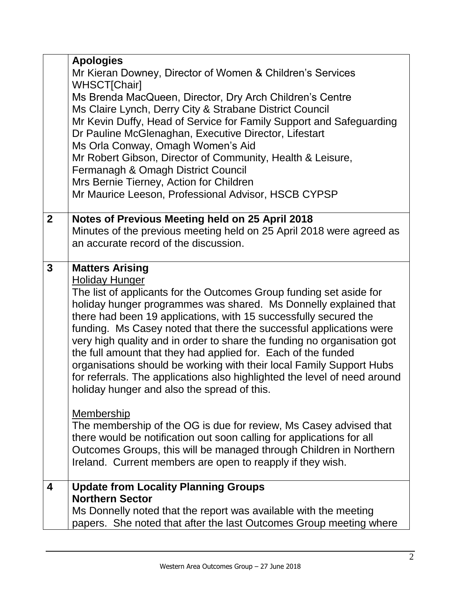|                | <b>Apologies</b><br>Mr Kieran Downey, Director of Women & Children's Services<br><b>WHSCT[Chair]</b><br>Ms Brenda MacQueen, Director, Dry Arch Children's Centre<br>Ms Claire Lynch, Derry City & Strabane District Council<br>Mr Kevin Duffy, Head of Service for Family Support and Safeguarding<br>Dr Pauline McGlenaghan, Executive Director, Lifestart<br>Ms Orla Conway, Omagh Women's Aid<br>Mr Robert Gibson, Director of Community, Health & Leisure,                                                                                                                                                                                                                        |
|----------------|---------------------------------------------------------------------------------------------------------------------------------------------------------------------------------------------------------------------------------------------------------------------------------------------------------------------------------------------------------------------------------------------------------------------------------------------------------------------------------------------------------------------------------------------------------------------------------------------------------------------------------------------------------------------------------------|
|                | Fermanagh & Omagh District Council<br>Mrs Bernie Tierney, Action for Children<br>Mr Maurice Leeson, Professional Advisor, HSCB CYPSP                                                                                                                                                                                                                                                                                                                                                                                                                                                                                                                                                  |
| 2 <sup>1</sup> | Notes of Previous Meeting held on 25 April 2018<br>Minutes of the previous meeting held on 25 April 2018 were agreed as<br>an accurate record of the discussion.                                                                                                                                                                                                                                                                                                                                                                                                                                                                                                                      |
| 3              | <b>Matters Arising</b><br><b>Holiday Hunger</b><br>The list of applicants for the Outcomes Group funding set aside for<br>holiday hunger programmes was shared. Ms Donnelly explained that<br>there had been 19 applications, with 15 successfully secured the<br>funding. Ms Casey noted that there the successful applications were<br>very high quality and in order to share the funding no organisation got<br>the full amount that they had applied for. Each of the funded<br>organisations should be working with their local Family Support Hubs<br>for referrals. The applications also highlighted the level of need around<br>holiday hunger and also the spread of this. |
|                | <b>Membership</b><br>The membership of the OG is due for review, Ms Casey advised that<br>there would be notification out soon calling for applications for all<br>Outcomes Groups, this will be managed through Children in Northern<br>Ireland. Current members are open to reapply if they wish.                                                                                                                                                                                                                                                                                                                                                                                   |
| 4              | <b>Update from Locality Planning Groups</b><br><b>Northern Sector</b><br>Ms Donnelly noted that the report was available with the meeting<br>papers. She noted that after the last Outcomes Group meeting where                                                                                                                                                                                                                                                                                                                                                                                                                                                                       |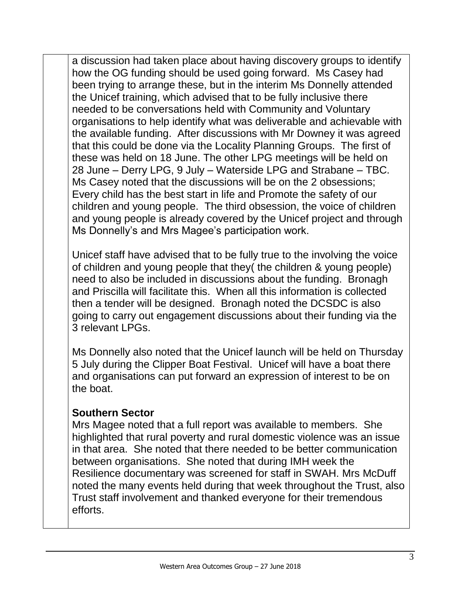a discussion had taken place about having discovery groups to identify how the OG funding should be used going forward. Ms Casey had been trying to arrange these, but in the interim Ms Donnelly attended the Unicef training, which advised that to be fully inclusive there needed to be conversations held with Community and Voluntary organisations to help identify what was deliverable and achievable with the available funding. After discussions with Mr Downey it was agreed that this could be done via the Locality Planning Groups. The first of these was held on 18 June. The other LPG meetings will be held on 28 June – Derry LPG, 9 July – Waterside LPG and Strabane – TBC. Ms Casey noted that the discussions will be on the 2 obsessions; Every child has the best start in life and Promote the safety of our children and young people. The third obsession, the voice of children and young people is already covered by the Unicef project and through Ms Donnelly's and Mrs Magee's participation work.

Unicef staff have advised that to be fully true to the involving the voice of children and young people that they( the children & young people) need to also be included in discussions about the funding. Bronagh and Priscilla will facilitate this. When all this information is collected then a tender will be designed. Bronagh noted the DCSDC is also going to carry out engagement discussions about their funding via the 3 relevant LPGs.

Ms Donnelly also noted that the Unicef launch will be held on Thursday 5 July during the Clipper Boat Festival. Unicef will have a boat there and organisations can put forward an expression of interest to be on the boat.

## **Southern Sector**

Mrs Magee noted that a full report was available to members. She highlighted that rural poverty and rural domestic violence was an issue in that area. She noted that there needed to be better communication between organisations. She noted that during IMH week the Resilience documentary was screened for staff in SWAH. Mrs McDuff noted the many events held during that week throughout the Trust, also Trust staff involvement and thanked everyone for their tremendous efforts.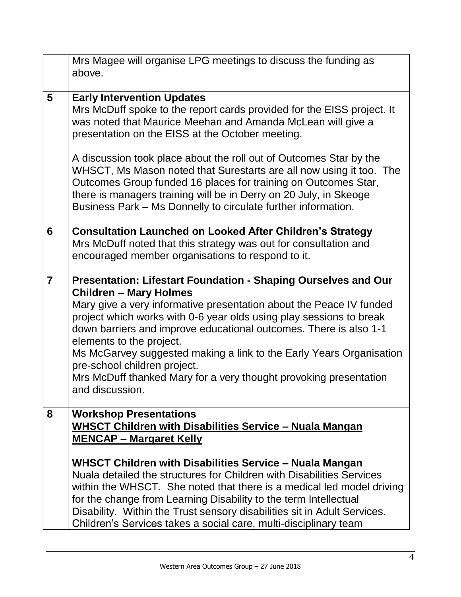|                | Mrs Magee will organise LPG meetings to discuss the funding as<br>above.                                                                                                                                                                                                                                                                                                                                                                                                                                                                      |
|----------------|-----------------------------------------------------------------------------------------------------------------------------------------------------------------------------------------------------------------------------------------------------------------------------------------------------------------------------------------------------------------------------------------------------------------------------------------------------------------------------------------------------------------------------------------------|
| 5              | <b>Early Intervention Updates</b><br>Mrs McDuff spoke to the report cards provided for the EISS project. It<br>was noted that Maurice Meehan and Amanda McLean will give a<br>presentation on the EISS at the October meeting.                                                                                                                                                                                                                                                                                                                |
|                | A discussion took place about the roll out of Outcomes Star by the<br>WHSCT, Ms Mason noted that Surestarts are all now using it too. The<br>Outcomes Group funded 16 places for training on Outcomes Star,<br>there is managers training will be in Derry on 20 July, in Skeoge<br>Business Park – Ms Donnelly to circulate further information.                                                                                                                                                                                             |
| 6              | <b>Consultation Launched on Looked After Children's Strategy</b><br>Mrs McDuff noted that this strategy was out for consultation and<br>encouraged member organisations to respond to it.                                                                                                                                                                                                                                                                                                                                                     |
| $\overline{7}$ | Presentation: Lifestart Foundation - Shaping Ourselves and Our<br><b>Children - Mary Holmes</b><br>Mary give a very informative presentation about the Peace IV funded<br>project which works with 0-6 year olds using play sessions to break<br>down barriers and improve educational outcomes. There is also 1-1<br>elements to the project.<br>Ms McGarvey suggested making a link to the Early Years Organisation<br>pre-school children project.<br>Mrs McDuff thanked Mary for a very thought provoking presentation<br>and discussion. |
| 8              | <b>Workshop Presentations</b><br><b>WHSCT Children with Disabilities Service - Nuala Mangan</b><br><b>MENCAP - Margaret Kelly</b><br>WHSCT Children with Disabilities Service - Nuala Mangan<br>Nuala detailed the structures for Children with Disabilities Services<br>within the WHSCT. She noted that there is a medical led model driving<br>for the change from Learning Disability to the term Intellectual<br>Disability. Within the Trust sensory disabilities sit in Adult Services.                                                |
|                | Children's Services takes a social care, multi-disciplinary team                                                                                                                                                                                                                                                                                                                                                                                                                                                                              |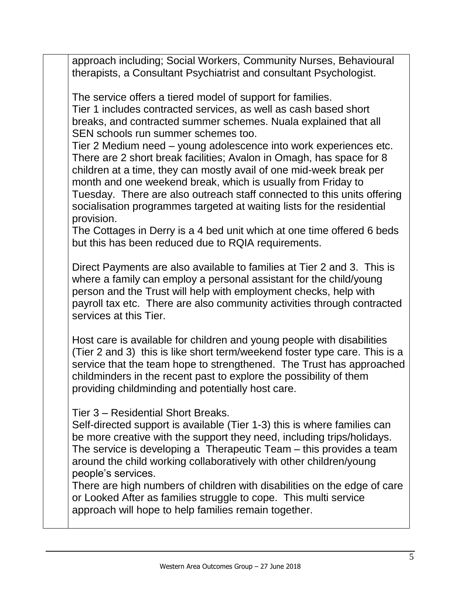approach including; Social Workers, Community Nurses, Behavioural therapists, a Consultant Psychiatrist and consultant Psychologist.

The service offers a tiered model of support for families. Tier 1 includes contracted services, as well as cash based short breaks, and contracted summer schemes. Nuala explained that all SEN schools run summer schemes too.

Tier 2 Medium need – young adolescence into work experiences etc. There are 2 short break facilities; Avalon in Omagh, has space for 8 children at a time, they can mostly avail of one mid-week break per month and one weekend break, which is usually from Friday to Tuesday. There are also outreach staff connected to this units offering socialisation programmes targeted at waiting lists for the residential provision.

The Cottages in Derry is a 4 bed unit which at one time offered 6 beds but this has been reduced due to RQIA requirements.

Direct Payments are also available to families at Tier 2 and 3. This is where a family can employ a personal assistant for the child/young person and the Trust will help with employment checks, help with payroll tax etc. There are also community activities through contracted services at this Tier.

Host care is available for children and young people with disabilities (Tier 2 and 3) this is like short term/weekend foster type care. This is a service that the team hope to strengthened. The Trust has approached childminders in the recent past to explore the possibility of them providing childminding and potentially host care.

Tier 3 – Residential Short Breaks.

Self-directed support is available (Tier 1-3) this is where families can be more creative with the support they need, including trips/holidays. The service is developing a Therapeutic Team – this provides a team around the child working collaboratively with other children/young people's services.

There are high numbers of children with disabilities on the edge of care or Looked After as families struggle to cope. This multi service approach will hope to help families remain together.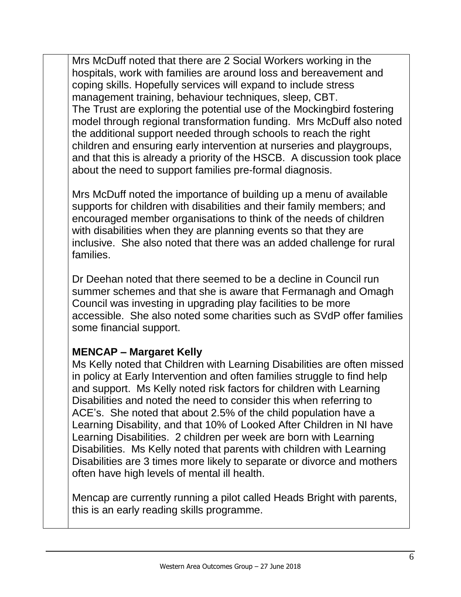Mrs McDuff noted that there are 2 Social Workers working in the hospitals, work with families are around loss and bereavement and coping skills. Hopefully services will expand to include stress management training, behaviour techniques, sleep, CBT. The Trust are exploring the potential use of the Mockingbird fostering model through regional transformation funding. Mrs McDuff also noted the additional support needed through schools to reach the right children and ensuring early intervention at nurseries and playgroups, and that this is already a priority of the HSCB. A discussion took place about the need to support families pre-formal diagnosis.

Mrs McDuff noted the importance of building up a menu of available supports for children with disabilities and their family members; and encouraged member organisations to think of the needs of children with disabilities when they are planning events so that they are inclusive. She also noted that there was an added challenge for rural families.

Dr Deehan noted that there seemed to be a decline in Council run summer schemes and that she is aware that Fermanagh and Omagh Council was investing in upgrading play facilities to be more accessible. She also noted some charities such as SVdP offer families some financial support.

## **MENCAP – Margaret Kelly**

Ms Kelly noted that Children with Learning Disabilities are often missed in policy at Early Intervention and often families struggle to find help and support. Ms Kelly noted risk factors for children with Learning Disabilities and noted the need to consider this when referring to ACE's. She noted that about 2.5% of the child population have a Learning Disability, and that 10% of Looked After Children in NI have Learning Disabilities. 2 children per week are born with Learning Disabilities. Ms Kelly noted that parents with children with Learning Disabilities are 3 times more likely to separate or divorce and mothers often have high levels of mental ill health.

Mencap are currently running a pilot called Heads Bright with parents, this is an early reading skills programme.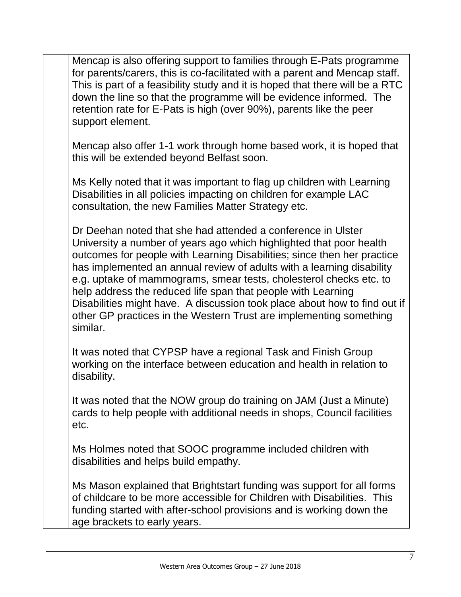Mencap is also offering support to families through E-Pats programme for parents/carers, this is co-facilitated with a parent and Mencap staff. This is part of a feasibility study and it is hoped that there will be a RTC down the line so that the programme will be evidence informed. The retention rate for E-Pats is high (over 90%), parents like the peer support element.

Mencap also offer 1-1 work through home based work, it is hoped that this will be extended beyond Belfast soon.

Ms Kelly noted that it was important to flag up children with Learning Disabilities in all policies impacting on children for example LAC consultation, the new Families Matter Strategy etc.

Dr Deehan noted that she had attended a conference in Ulster University a number of years ago which highlighted that poor health outcomes for people with Learning Disabilities; since then her practice has implemented an annual review of adults with a learning disability e.g. uptake of mammograms, smear tests, cholesterol checks etc. to help address the reduced life span that people with Learning Disabilities might have. A discussion took place about how to find out if other GP practices in the Western Trust are implementing something similar.

It was noted that CYPSP have a regional Task and Finish Group working on the interface between education and health in relation to disability.

It was noted that the NOW group do training on JAM (Just a Minute) cards to help people with additional needs in shops, Council facilities etc.

Ms Holmes noted that SOOC programme included children with disabilities and helps build empathy.

Ms Mason explained that Brightstart funding was support for all forms of childcare to be more accessible for Children with Disabilities. This funding started with after-school provisions and is working down the age brackets to early years.